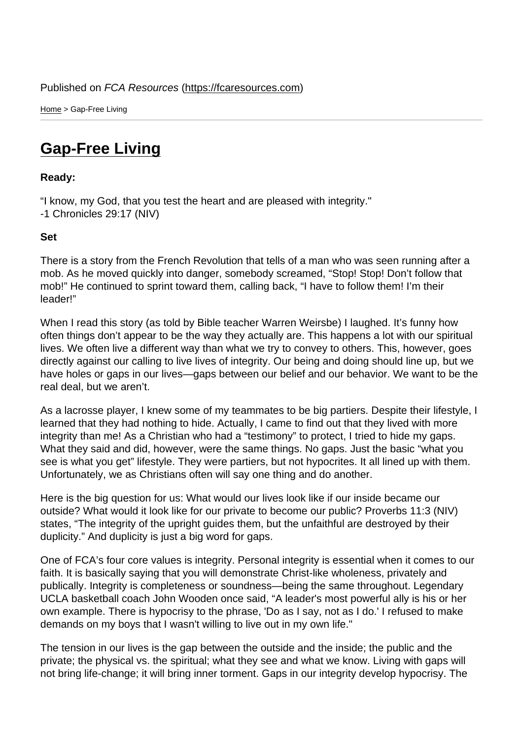Home > Gap-Free Living

## [Ga](https://fcaresources.com/)p-Free Living

Ready:

["I know, my God, that you](https://fcaresources.com/devotional/gap-free-living) test the heart and are pleased with integrity." -1 Chronicles 29:17 (NIV)

Set

There is a story from the French Revolution that tells of a man who was seen running after a mob. As he moved quickly into danger, somebody screamed, "Stop! Stop! Don't follow that mob!" He continued to sprint toward them, calling back, "I have to follow them! I'm their leader!"

When I read this story (as told by Bible teacher Warren Weirsbe) I laughed. It's funny how often things don't appear to be the way they actually are. This happens a lot with our spiritual lives. We often live a different way than what we try to convey to others. This, however, goes directly against our calling to live lives of integrity. Our being and doing should line up, but we have holes or gaps in our lives—gaps between our belief and our behavior. We want to be the real deal, but we aren't.

As a lacrosse player, I knew some of my teammates to be big partiers. Despite their lifestyle, I learned that they had nothing to hide. Actually, I came to find out that they lived with more integrity than me! As a Christian who had a "testimony" to protect, I tried to hide my gaps. What they said and did, however, were the same things. No gaps. Just the basic "what you see is what you get" lifestyle. They were partiers, but not hypocrites. It all lined up with them. Unfortunately, we as Christians often will say one thing and do another.

Here is the big question for us: What would our lives look like if our inside became our outside? What would it look like for our private to become our public? Proverbs 11:3 (NIV) states, "The integrity of the upright guides them, but the unfaithful are destroyed by their duplicity." And duplicity is just a big word for gaps.

One of FCA's four core values is integrity. Personal integrity is essential when it comes to our faith. It is basically saying that you will demonstrate Christ-like wholeness, privately and publically. Integrity is completeness or soundness—being the same throughout. Legendary UCLA basketball coach John Wooden once said, "A leader's most powerful ally is his or her own example. There is hypocrisy to the phrase, 'Do as I say, not as I do.' I refused to make demands on my boys that I wasn't willing to live out in my own life."

The tension in our lives is the gap between the outside and the inside; the public and the private; the physical vs. the spiritual; what they see and what we know. Living with gaps will not bring life-change; it will bring inner torment. Gaps in our integrity develop hypocrisy. The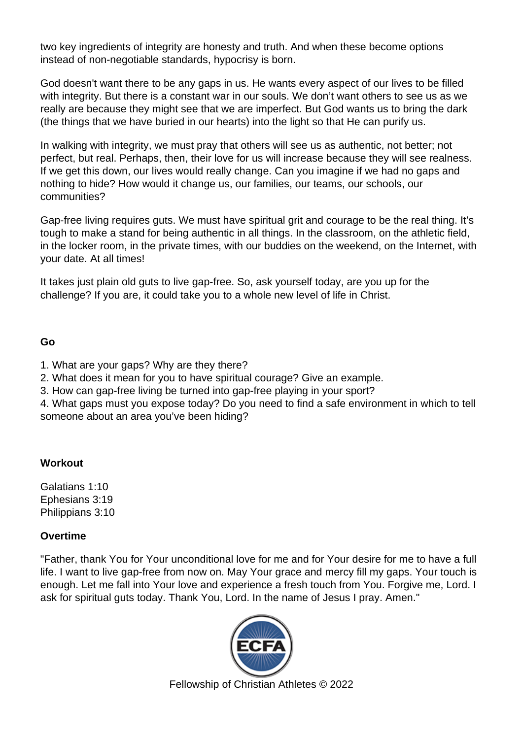two key ingredients of integrity are honesty and truth. And when these become options instead of non-negotiable standards, hypocrisy is born.

God doesn't want there to be any gaps in us. He wants every aspect of our lives to be filled with integrity. But there is a constant war in our souls. We don't want others to see us as we really are because they might see that we are imperfect. But God wants us to bring the dark (the things that we have buried in our hearts) into the light so that He can purify us.

In walking with integrity, we must pray that others will see us as authentic, not better; not perfect, but real. Perhaps, then, their love for us will increase because they will see realness. If we get this down, our lives would really change. Can you imagine if we had no gaps and nothing to hide? How would it change us, our families, our teams, our schools, our communities?

Gap-free living requires guts. We must have spiritual grit and courage to be the real thing. It's tough to make a stand for being authentic in all things. In the classroom, on the athletic field, in the locker room, in the private times, with our buddies on the weekend, on the Internet, with your date. At all times!

It takes just plain old guts to live gap-free. So, ask yourself today, are you up for the challenge? If you are, it could take you to a whole new level of life in Christ.

Go

- 1. What are your gaps? Why are they there?
- 2. What does it mean for you to have spiritual courage? Give an example.
- 3. How can gap-free living be turned into gap-free playing in your sport?

4. What gaps must you expose today? Do you need to find a safe environment in which to tell someone about an area you've been hiding?

**Workout** 

Galatians 1:10 Ephesians 3:19 Philippians 3:10

**Overtime** 

"Father, thank You for Your unconditional love for me and for Your desire for me to have a full life. I want to live gap-free from now on. May Your grace and mercy fill my gaps. Your touch is enough. Let me fall into Your love and experience a fresh touch from You. Forgive me, Lord. I ask for spiritual guts today. Thank You, Lord. In the name of Jesus I pray. Amen."